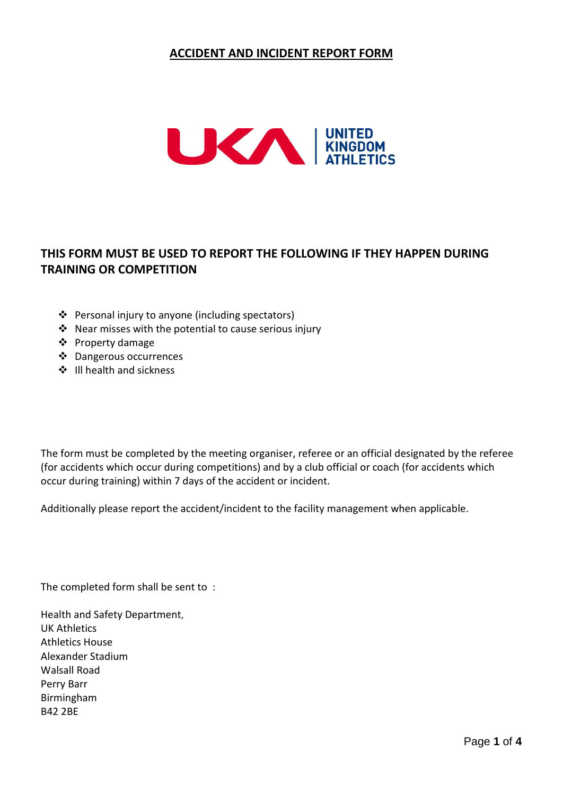## **ACCIDENT AND INCIDENT REPORT FORM**



# **THIS FORM MUST BE USED TO REPORT THE FOLLOWING IF THEY HAPPEN DURING TRAINING OR COMPETITION**

- ❖ Personal injury to anyone (including spectators)
- $\cdot$  Near misses with the potential to cause serious injury
- ❖ Property damage
- Dangerous occurrences
- $\div$  III health and sickness

The form must be completed by the meeting organiser, referee or an official designated by the referee (for accidents which occur during competitions) and by a club official or coach (for accidents which occur during training) within 7 days of the accident or incident.

Additionally please report the accident/incident to the facility management when applicable.

The completed form shall be sent to :

Health and Safety Department, UK Athletics Athletics House Alexander Stadium Walsall Road Perry Barr Birmingham B42 2BE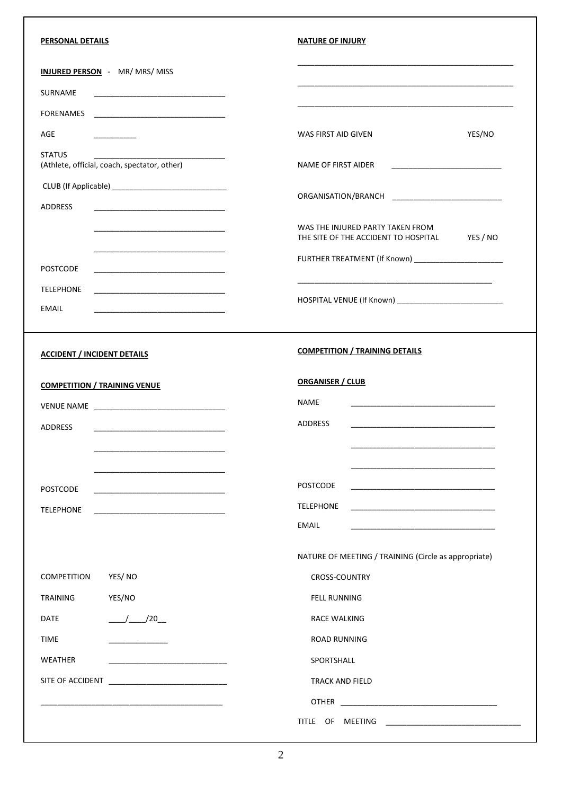| PERSONAL DETAILS                                                                                                               | <b>NATURE OF INJURY</b>                                                              |
|--------------------------------------------------------------------------------------------------------------------------------|--------------------------------------------------------------------------------------|
| <b>INJURED PERSON</b> - MR/ MRS/ MISS                                                                                          |                                                                                      |
| SURNAME                                                                                                                        |                                                                                      |
| <b>FORENAMES</b>                                                                                                               |                                                                                      |
| AGE                                                                                                                            | YES/NO<br>WAS FIRST AID GIVEN                                                        |
| <b>STATUS</b><br>(Athlete, official, coach, spectator, other)                                                                  | NAME OF FIRST AIDER                                                                  |
|                                                                                                                                |                                                                                      |
| ADDRESS                                                                                                                        |                                                                                      |
|                                                                                                                                | WAS THE INJURED PARTY TAKEN FROM<br>YES / NO<br>THE SITE OF THE ACCIDENT TO HOSPITAL |
|                                                                                                                                | FURTHER TREATMENT (If Known) ______________________                                  |
| <b>POSTCODE</b>                                                                                                                |                                                                                      |
| <b>TELEPHONE</b>                                                                                                               |                                                                                      |
| EMAIL<br><u> 1980 - Johann Barbara, martxa alemaniar amerikan basar da da a shekara a shekara a shekara a shekara a shekar</u> |                                                                                      |
| <b>ACCIDENT / INCIDENT DETAILS</b>                                                                                             | <b>COMPETITION / TRAINING DETAILS</b>                                                |
|                                                                                                                                | <b>ORGANISER / CLUB</b>                                                              |
| <b>COMPETITION / TRAINING VENUE</b>                                                                                            | <b>NAME</b>                                                                          |
|                                                                                                                                | ADDRESS                                                                              |
| <b>ADDRESS</b>                                                                                                                 |                                                                                      |
|                                                                                                                                |                                                                                      |
| <b>POSTCODE</b>                                                                                                                | <b>POSTCODE</b><br><u> 1980 - Johann Barn, mars an t-Amerikaansk politiker (</u>     |
| <b>TELEPHONE</b>                                                                                                               | <b>TELEPHONE</b>                                                                     |
|                                                                                                                                | <b>EMAIL</b>                                                                         |
|                                                                                                                                | NATURE OF MEETING / TRAINING (Circle as appropriate)                                 |
| <b>COMPETITION</b><br>YES/NO                                                                                                   | CROSS-COUNTRY                                                                        |
| YES/NO<br><b>TRAINING</b>                                                                                                      | <b>FELL RUNNING</b>                                                                  |
| $\frac{1}{20}$ /20<br><b>DATE</b>                                                                                              | <b>RACE WALKING</b>                                                                  |
| <b>TIME</b>                                                                                                                    | <b>ROAD RUNNING</b>                                                                  |
| WEATHER                                                                                                                        | SPORTSHALL                                                                           |
|                                                                                                                                | <b>TRACK AND FIELD</b>                                                               |
|                                                                                                                                |                                                                                      |
|                                                                                                                                | TITLE OF MEETING                                                                     |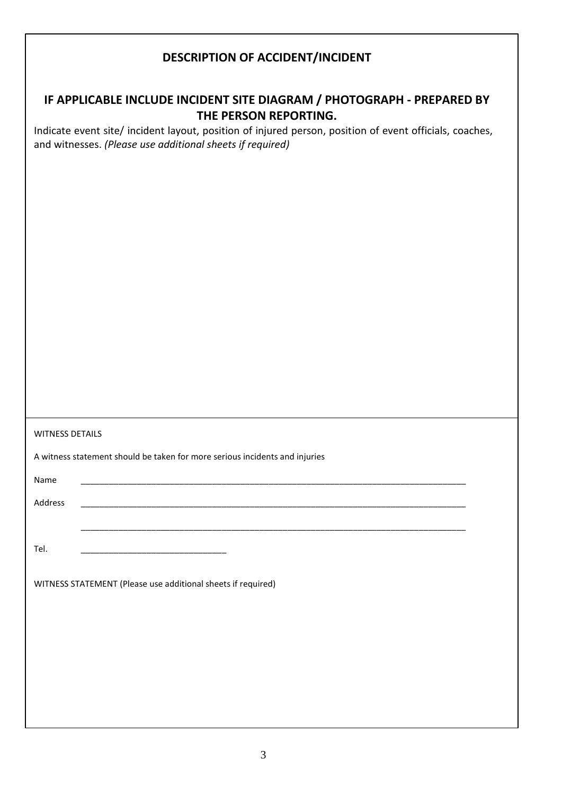## **DESCRIPTION OF ACCIDENT/INCIDENT**

# **IF APPLICABLE INCLUDE INCIDENT SITE DIAGRAM / PHOTOGRAPH - PREPARED BY THE PERSON REPORTING.**

Indicate event site/ incident layout, position of injured person, position of event officials, coaches, and witnesses. *(Please use additional sheets if required)*

A witness statement should be taken for more serious incidents and injuries

Name \_\_\_\_\_\_\_\_\_\_\_\_\_\_\_\_\_\_\_\_\_\_\_\_\_\_\_\_\_\_\_\_\_\_\_\_\_\_\_\_\_\_\_\_\_\_\_\_\_\_\_\_\_\_\_\_\_\_\_\_\_\_\_\_\_\_\_\_\_\_\_\_\_\_\_\_\_\_\_\_\_\_

Address \_\_\_\_\_\_\_\_\_\_\_\_\_\_\_\_\_\_\_\_\_\_\_\_\_\_\_\_\_\_\_\_\_\_\_\_\_\_\_\_\_\_\_\_\_\_\_\_\_\_\_\_\_\_\_\_\_\_\_\_\_\_\_\_\_\_\_\_\_\_\_\_\_\_\_\_\_\_\_\_\_\_

Tel. \_\_\_\_\_\_\_\_\_\_\_\_\_\_\_\_\_\_\_\_\_\_\_\_\_\_\_\_\_\_\_

WITNESS STATEMENT (Please use additional sheets if required)

\_\_\_\_\_\_\_\_\_\_\_\_\_\_\_\_\_\_\_\_\_\_\_\_\_\_\_\_\_\_\_\_\_\_\_\_\_\_\_\_\_\_\_\_\_\_\_\_\_\_\_\_\_\_\_\_\_\_\_\_\_\_\_\_\_\_\_\_\_\_\_\_\_\_\_\_\_\_\_\_\_\_